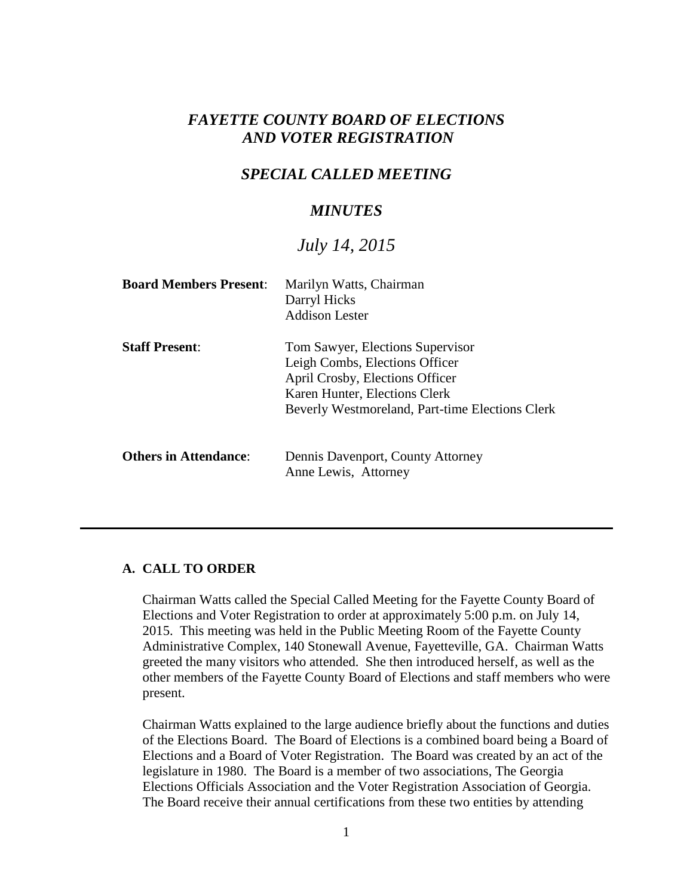# *FAYETTE COUNTY BOARD OF ELECTIONS AND VOTER REGISTRATION*

## *SPECIAL CALLED MEETING*

## *MINUTES*

# *July 14, 2015*

| <b>Board Members Present:</b> | Marilyn Watts, Chairman<br>Darryl Hicks<br><b>Addison Lester</b>                                                                                                                          |
|-------------------------------|-------------------------------------------------------------------------------------------------------------------------------------------------------------------------------------------|
| <b>Staff Present:</b>         | Tom Sawyer, Elections Supervisor<br>Leigh Combs, Elections Officer<br>April Crosby, Elections Officer<br>Karen Hunter, Elections Clerk<br>Beverly Westmoreland, Part-time Elections Clerk |
| <b>Others in Attendance:</b>  | Dennis Davenport, County Attorney<br>Anne Lewis, Attorney                                                                                                                                 |

#### **A. CALL TO ORDER**

Chairman Watts called the Special Called Meeting for the Fayette County Board of Elections and Voter Registration to order at approximately 5:00 p.m. on July 14, 2015. This meeting was held in the Public Meeting Room of the Fayette County Administrative Complex, 140 Stonewall Avenue, Fayetteville, GA. Chairman Watts greeted the many visitors who attended. She then introduced herself, as well as the other members of the Fayette County Board of Elections and staff members who were present.

Chairman Watts explained to the large audience briefly about the functions and duties of the Elections Board. The Board of Elections is a combined board being a Board of Elections and a Board of Voter Registration. The Board was created by an act of the legislature in 1980. The Board is a member of two associations, The Georgia Elections Officials Association and the Voter Registration Association of Georgia. The Board receive their annual certifications from these two entities by attending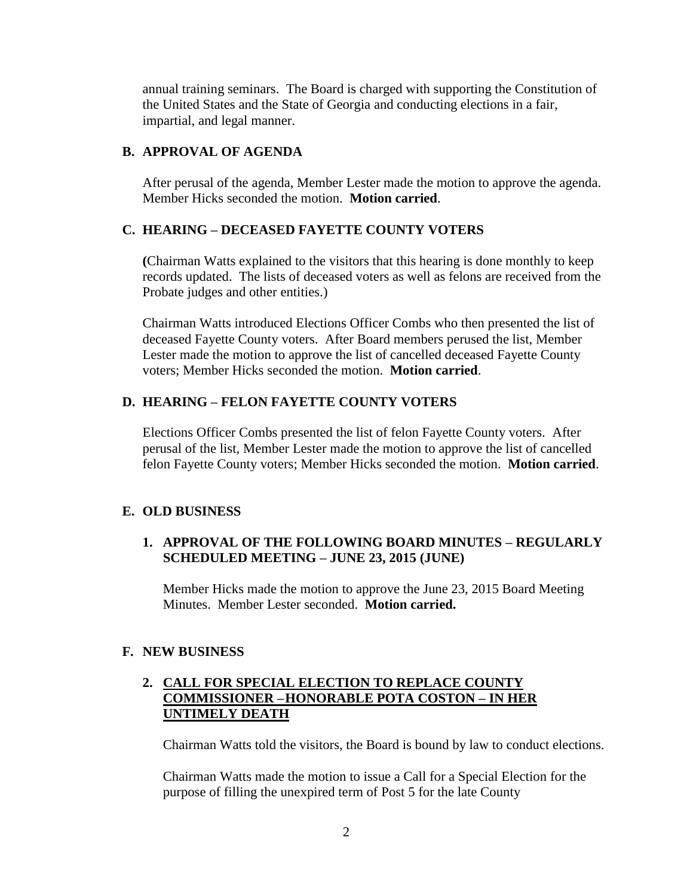annual training seminars. The Board is charged with supporting the Constitution of the United States and the State of Georgia and conducting elections in a fair, impartial, and legal manner.

#### **B. APPROVAL OF AGENDA**

After perusal of the agenda, Member Lester made the motion to approve the agenda. Member Hicks seconded the motion. **Motion carried**.

### **C. HEARING – DECEASED FAYETTE COUNTY VOTERS**

**(**Chairman Watts explained to the visitors that this hearing is done monthly to keep records updated. The lists of deceased voters as well as felons are received from the Probate judges and other entities.)

Chairman Watts introduced Elections Officer Combs who then presented the list of deceased Fayette County voters. After Board members perused the list, Member Lester made the motion to approve the list of cancelled deceased Fayette County voters; Member Hicks seconded the motion. **Motion carried**.

### **D. HEARING – FELON FAYETTE COUNTY VOTERS**

Elections Officer Combs presented the list of felon Fayette County voters. After perusal of the list, Member Lester made the motion to approve the list of cancelled felon Fayette County voters; Member Hicks seconded the motion. **Motion carried**.

### **E. OLD BUSINESS**

### **1. APPROVAL OF THE FOLLOWING BOARD MINUTES – REGULARLY SCHEDULED MEETING – JUNE 23, 2015 (JUNE)**

Member Hicks made the motion to approve the June 23, 2015 Board Meeting Minutes. Member Lester seconded. **Motion carried.**

### **F. NEW BUSINESS**

### **2. CALL FOR SPECIAL ELECTION TO REPLACE COUNTY COMMISSIONER –HONORABLE POTA COSTON – IN HER UNTIMELY DEATH**

Chairman Watts told the visitors, the Board is bound by law to conduct elections.

Chairman Watts made the motion to issue a Call for a Special Election for the purpose of filling the unexpired term of Post 5 for the late County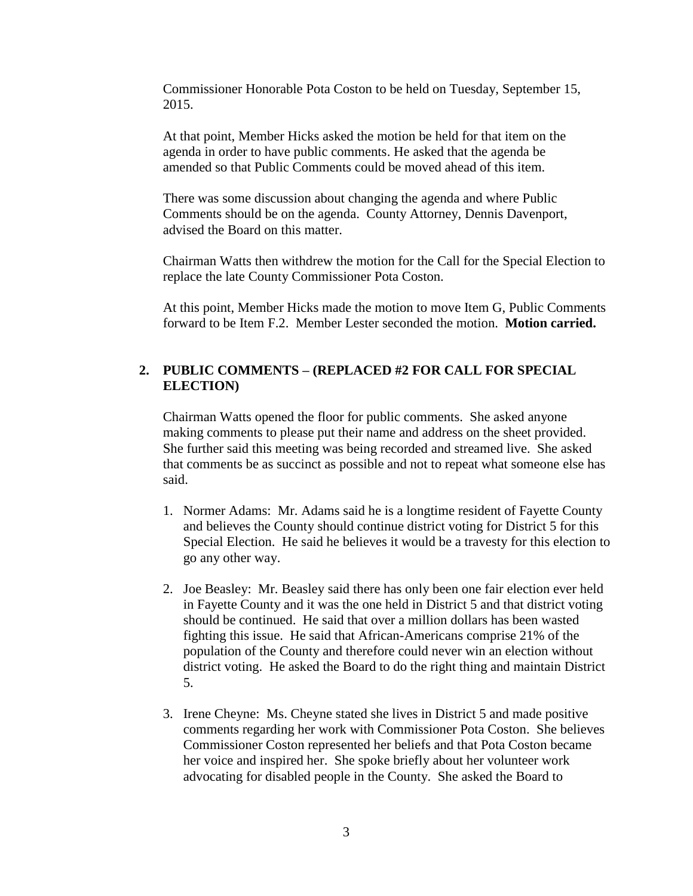Commissioner Honorable Pota Coston to be held on Tuesday, September 15, 2015.

At that point, Member Hicks asked the motion be held for that item on the agenda in order to have public comments. He asked that the agenda be amended so that Public Comments could be moved ahead of this item.

There was some discussion about changing the agenda and where Public Comments should be on the agenda. County Attorney, Dennis Davenport, advised the Board on this matter.

Chairman Watts then withdrew the motion for the Call for the Special Election to replace the late County Commissioner Pota Coston.

At this point, Member Hicks made the motion to move Item G, Public Comments forward to be Item F.2. Member Lester seconded the motion. **Motion carried.**

#### **2. PUBLIC COMMENTS – (REPLACED #2 FOR CALL FOR SPECIAL ELECTION)**

Chairman Watts opened the floor for public comments. She asked anyone making comments to please put their name and address on the sheet provided. She further said this meeting was being recorded and streamed live. She asked that comments be as succinct as possible and not to repeat what someone else has said.

- 1. Normer Adams: Mr. Adams said he is a longtime resident of Fayette County and believes the County should continue district voting for District 5 for this Special Election. He said he believes it would be a travesty for this election to go any other way.
- 2. Joe Beasley: Mr. Beasley said there has only been one fair election ever held in Fayette County and it was the one held in District 5 and that district voting should be continued. He said that over a million dollars has been wasted fighting this issue. He said that African-Americans comprise 21% of the population of the County and therefore could never win an election without district voting. He asked the Board to do the right thing and maintain District 5.
- 3. Irene Cheyne: Ms. Cheyne stated she lives in District 5 and made positive comments regarding her work with Commissioner Pota Coston. She believes Commissioner Coston represented her beliefs and that Pota Coston became her voice and inspired her. She spoke briefly about her volunteer work advocating for disabled people in the County. She asked the Board to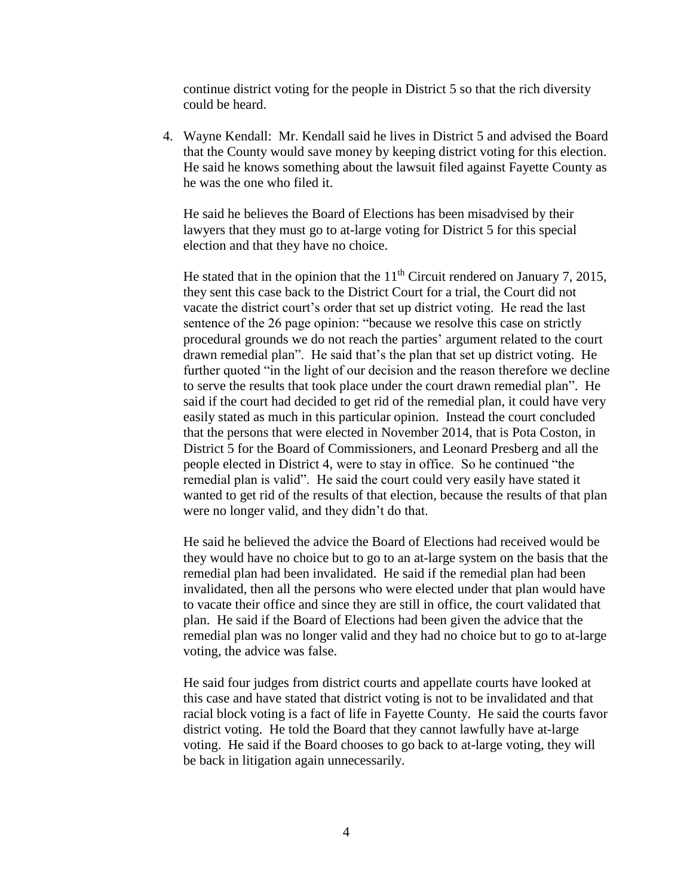continue district voting for the people in District 5 so that the rich diversity could be heard.

4. Wayne Kendall: Mr. Kendall said he lives in District 5 and advised the Board that the County would save money by keeping district voting for this election. He said he knows something about the lawsuit filed against Fayette County as he was the one who filed it.

He said he believes the Board of Elections has been misadvised by their lawyers that they must go to at-large voting for District 5 for this special election and that they have no choice.

He stated that in the opinion that the  $11<sup>th</sup>$  Circuit rendered on January 7, 2015, they sent this case back to the District Court for a trial, the Court did not vacate the district court's order that set up district voting. He read the last sentence of the 26 page opinion: "because we resolve this case on strictly procedural grounds we do not reach the parties' argument related to the court drawn remedial plan". He said that's the plan that set up district voting. He further quoted "in the light of our decision and the reason therefore we decline to serve the results that took place under the court drawn remedial plan". He said if the court had decided to get rid of the remedial plan, it could have very easily stated as much in this particular opinion. Instead the court concluded that the persons that were elected in November 2014, that is Pota Coston, in District 5 for the Board of Commissioners, and Leonard Presberg and all the people elected in District 4, were to stay in office. So he continued "the remedial plan is valid". He said the court could very easily have stated it wanted to get rid of the results of that election, because the results of that plan were no longer valid, and they didn't do that.

He said he believed the advice the Board of Elections had received would be they would have no choice but to go to an at-large system on the basis that the remedial plan had been invalidated. He said if the remedial plan had been invalidated, then all the persons who were elected under that plan would have to vacate their office and since they are still in office, the court validated that plan. He said if the Board of Elections had been given the advice that the remedial plan was no longer valid and they had no choice but to go to at-large voting, the advice was false.

He said four judges from district courts and appellate courts have looked at this case and have stated that district voting is not to be invalidated and that racial block voting is a fact of life in Fayette County. He said the courts favor district voting. He told the Board that they cannot lawfully have at-large voting. He said if the Board chooses to go back to at-large voting, they will be back in litigation again unnecessarily.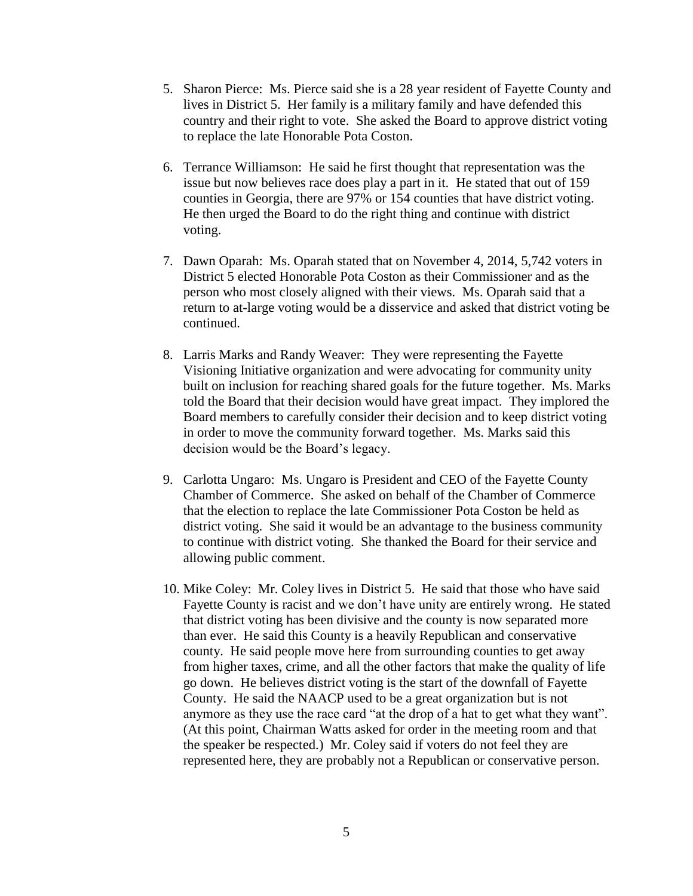- 5. Sharon Pierce: Ms. Pierce said she is a 28 year resident of Fayette County and lives in District 5. Her family is a military family and have defended this country and their right to vote. She asked the Board to approve district voting to replace the late Honorable Pota Coston.
- 6. Terrance Williamson: He said he first thought that representation was the issue but now believes race does play a part in it. He stated that out of 159 counties in Georgia, there are 97% or 154 counties that have district voting. He then urged the Board to do the right thing and continue with district voting.
- 7. Dawn Oparah: Ms. Oparah stated that on November 4, 2014, 5,742 voters in District 5 elected Honorable Pota Coston as their Commissioner and as the person who most closely aligned with their views. Ms. Oparah said that a return to at-large voting would be a disservice and asked that district voting be continued.
- 8. Larris Marks and Randy Weaver: They were representing the Fayette Visioning Initiative organization and were advocating for community unity built on inclusion for reaching shared goals for the future together. Ms. Marks told the Board that their decision would have great impact. They implored the Board members to carefully consider their decision and to keep district voting in order to move the community forward together. Ms. Marks said this decision would be the Board's legacy.
- 9. Carlotta Ungaro: Ms. Ungaro is President and CEO of the Fayette County Chamber of Commerce. She asked on behalf of the Chamber of Commerce that the election to replace the late Commissioner Pota Coston be held as district voting. She said it would be an advantage to the business community to continue with district voting. She thanked the Board for their service and allowing public comment.
- 10. Mike Coley: Mr. Coley lives in District 5. He said that those who have said Fayette County is racist and we don't have unity are entirely wrong. He stated that district voting has been divisive and the county is now separated more than ever. He said this County is a heavily Republican and conservative county. He said people move here from surrounding counties to get away from higher taxes, crime, and all the other factors that make the quality of life go down. He believes district voting is the start of the downfall of Fayette County. He said the NAACP used to be a great organization but is not anymore as they use the race card "at the drop of a hat to get what they want". (At this point, Chairman Watts asked for order in the meeting room and that the speaker be respected.) Mr. Coley said if voters do not feel they are represented here, they are probably not a Republican or conservative person.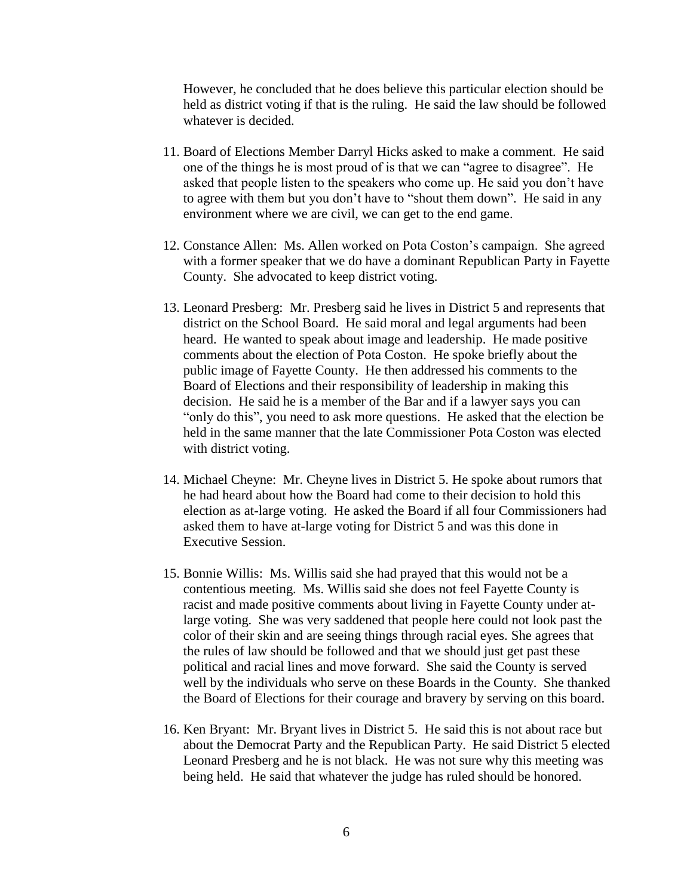However, he concluded that he does believe this particular election should be held as district voting if that is the ruling. He said the law should be followed whatever is decided.

- 11. Board of Elections Member Darryl Hicks asked to make a comment. He said one of the things he is most proud of is that we can "agree to disagree". He asked that people listen to the speakers who come up. He said you don't have to agree with them but you don't have to "shout them down". He said in any environment where we are civil, we can get to the end game.
- 12. Constance Allen: Ms. Allen worked on Pota Coston's campaign. She agreed with a former speaker that we do have a dominant Republican Party in Fayette County. She advocated to keep district voting.
- 13. Leonard Presberg: Mr. Presberg said he lives in District 5 and represents that district on the School Board. He said moral and legal arguments had been heard. He wanted to speak about image and leadership. He made positive comments about the election of Pota Coston. He spoke briefly about the public image of Fayette County. He then addressed his comments to the Board of Elections and their responsibility of leadership in making this decision. He said he is a member of the Bar and if a lawyer says you can "only do this", you need to ask more questions. He asked that the election be held in the same manner that the late Commissioner Pota Coston was elected with district voting.
- 14. Michael Cheyne: Mr. Cheyne lives in District 5. He spoke about rumors that he had heard about how the Board had come to their decision to hold this election as at-large voting. He asked the Board if all four Commissioners had asked them to have at-large voting for District 5 and was this done in Executive Session.
- 15. Bonnie Willis: Ms. Willis said she had prayed that this would not be a contentious meeting. Ms. Willis said she does not feel Fayette County is racist and made positive comments about living in Fayette County under atlarge voting. She was very saddened that people here could not look past the color of their skin and are seeing things through racial eyes. She agrees that the rules of law should be followed and that we should just get past these political and racial lines and move forward. She said the County is served well by the individuals who serve on these Boards in the County. She thanked the Board of Elections for their courage and bravery by serving on this board.
- 16. Ken Bryant: Mr. Bryant lives in District 5. He said this is not about race but about the Democrat Party and the Republican Party. He said District 5 elected Leonard Presberg and he is not black. He was not sure why this meeting was being held. He said that whatever the judge has ruled should be honored.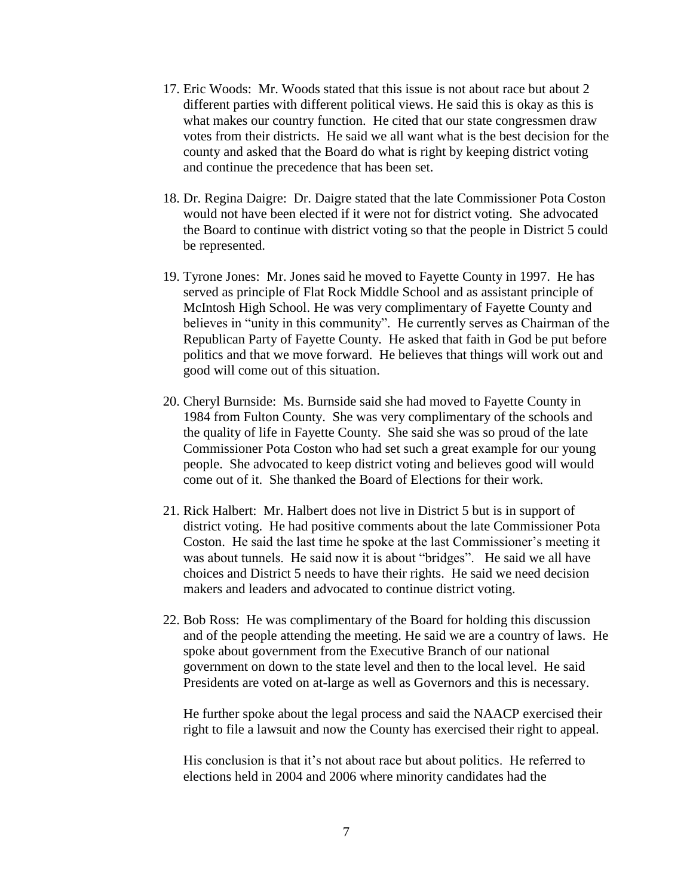- 17. Eric Woods: Mr. Woods stated that this issue is not about race but about 2 different parties with different political views. He said this is okay as this is what makes our country function. He cited that our state congressmen draw votes from their districts. He said we all want what is the best decision for the county and asked that the Board do what is right by keeping district voting and continue the precedence that has been set.
- 18. Dr. Regina Daigre: Dr. Daigre stated that the late Commissioner Pota Coston would not have been elected if it were not for district voting. She advocated the Board to continue with district voting so that the people in District 5 could be represented.
- 19. Tyrone Jones: Mr. Jones said he moved to Fayette County in 1997. He has served as principle of Flat Rock Middle School and as assistant principle of McIntosh High School. He was very complimentary of Fayette County and believes in "unity in this community". He currently serves as Chairman of the Republican Party of Fayette County. He asked that faith in God be put before politics and that we move forward. He believes that things will work out and good will come out of this situation.
- 20. Cheryl Burnside: Ms. Burnside said she had moved to Fayette County in 1984 from Fulton County. She was very complimentary of the schools and the quality of life in Fayette County. She said she was so proud of the late Commissioner Pota Coston who had set such a great example for our young people. She advocated to keep district voting and believes good will would come out of it. She thanked the Board of Elections for their work.
- 21. Rick Halbert: Mr. Halbert does not live in District 5 but is in support of district voting. He had positive comments about the late Commissioner Pota Coston. He said the last time he spoke at the last Commissioner's meeting it was about tunnels. He said now it is about "bridges". He said we all have choices and District 5 needs to have their rights. He said we need decision makers and leaders and advocated to continue district voting.
- 22. Bob Ross: He was complimentary of the Board for holding this discussion and of the people attending the meeting. He said we are a country of laws. He spoke about government from the Executive Branch of our national government on down to the state level and then to the local level. He said Presidents are voted on at-large as well as Governors and this is necessary.

He further spoke about the legal process and said the NAACP exercised their right to file a lawsuit and now the County has exercised their right to appeal.

His conclusion is that it's not about race but about politics. He referred to elections held in 2004 and 2006 where minority candidates had the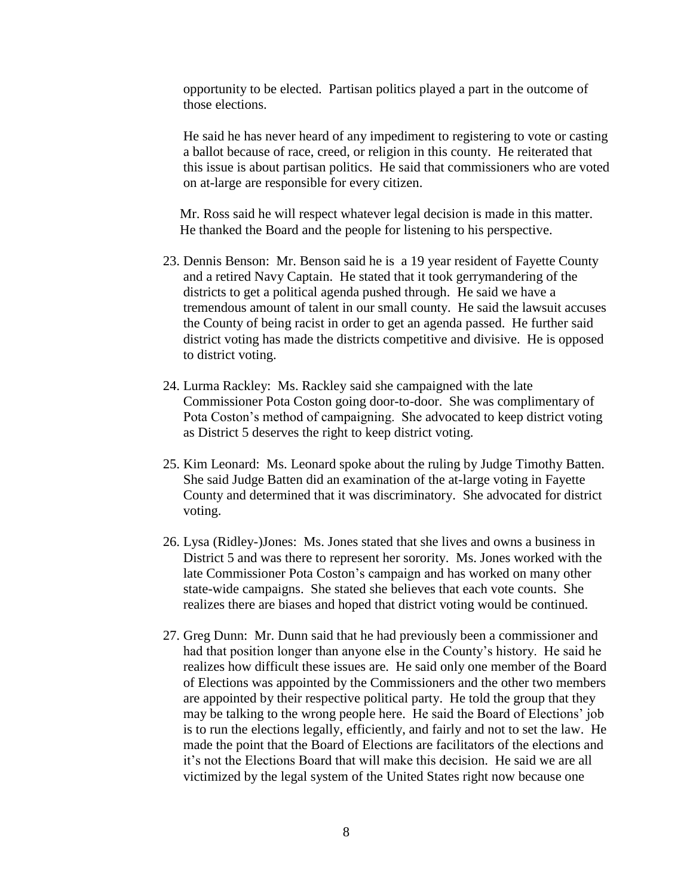opportunity to be elected. Partisan politics played a part in the outcome of those elections.

He said he has never heard of any impediment to registering to vote or casting a ballot because of race, creed, or religion in this county. He reiterated that this issue is about partisan politics. He said that commissioners who are voted on at-large are responsible for every citizen.

 Mr. Ross said he will respect whatever legal decision is made in this matter. He thanked the Board and the people for listening to his perspective.

- 23. Dennis Benson: Mr. Benson said he is a 19 year resident of Fayette County and a retired Navy Captain. He stated that it took gerrymandering of the districts to get a political agenda pushed through. He said we have a tremendous amount of talent in our small county. He said the lawsuit accuses the County of being racist in order to get an agenda passed. He further said district voting has made the districts competitive and divisive. He is opposed to district voting.
- 24. Lurma Rackley: Ms. Rackley said she campaigned with the late Commissioner Pota Coston going door-to-door. She was complimentary of Pota Coston's method of campaigning. She advocated to keep district voting as District 5 deserves the right to keep district voting.
- 25. Kim Leonard: Ms. Leonard spoke about the ruling by Judge Timothy Batten. She said Judge Batten did an examination of the at-large voting in Fayette County and determined that it was discriminatory. She advocated for district voting.
- 26. Lysa (Ridley-)Jones: Ms. Jones stated that she lives and owns a business in District 5 and was there to represent her sorority. Ms. Jones worked with the late Commissioner Pota Coston's campaign and has worked on many other state-wide campaigns. She stated she believes that each vote counts. She realizes there are biases and hoped that district voting would be continued.
- 27. Greg Dunn: Mr. Dunn said that he had previously been a commissioner and had that position longer than anyone else in the County's history. He said he realizes how difficult these issues are. He said only one member of the Board of Elections was appointed by the Commissioners and the other two members are appointed by their respective political party. He told the group that they may be talking to the wrong people here. He said the Board of Elections' job is to run the elections legally, efficiently, and fairly and not to set the law. He made the point that the Board of Elections are facilitators of the elections and it's not the Elections Board that will make this decision. He said we are all victimized by the legal system of the United States right now because one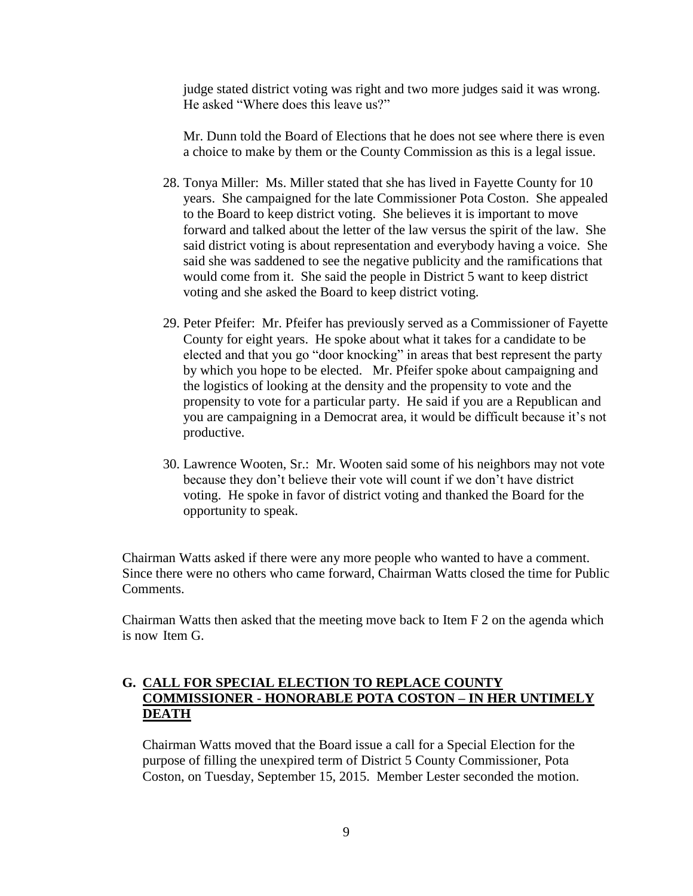judge stated district voting was right and two more judges said it was wrong. He asked "Where does this leave us?"

 Mr. Dunn told the Board of Elections that he does not see where there is even a choice to make by them or the County Commission as this is a legal issue.

- 28. Tonya Miller: Ms. Miller stated that she has lived in Fayette County for 10 years. She campaigned for the late Commissioner Pota Coston. She appealed to the Board to keep district voting. She believes it is important to move forward and talked about the letter of the law versus the spirit of the law. She said district voting is about representation and everybody having a voice. She said she was saddened to see the negative publicity and the ramifications that would come from it. She said the people in District 5 want to keep district voting and she asked the Board to keep district voting.
- 29. Peter Pfeifer: Mr. Pfeifer has previously served as a Commissioner of Fayette County for eight years. He spoke about what it takes for a candidate to be elected and that you go "door knocking" in areas that best represent the party by which you hope to be elected. Mr. Pfeifer spoke about campaigning and the logistics of looking at the density and the propensity to vote and the propensity to vote for a particular party. He said if you are a Republican and you are campaigning in a Democrat area, it would be difficult because it's not productive.
- 30. Lawrence Wooten, Sr.: Mr. Wooten said some of his neighbors may not vote because they don't believe their vote will count if we don't have district voting. He spoke in favor of district voting and thanked the Board for the opportunity to speak.

Chairman Watts asked if there were any more people who wanted to have a comment. Since there were no others who came forward, Chairman Watts closed the time for Public Comments.

Chairman Watts then asked that the meeting move back to Item F 2 on the agenda which is now Item G.

#### **G. CALL FOR SPECIAL ELECTION TO REPLACE COUNTY COMMISSIONER - HONORABLE POTA COSTON – IN HER UNTIMELY DEATH**

Chairman Watts moved that the Board issue a call for a Special Election for the purpose of filling the unexpired term of District 5 County Commissioner, Pota Coston, on Tuesday, September 15, 2015. Member Lester seconded the motion.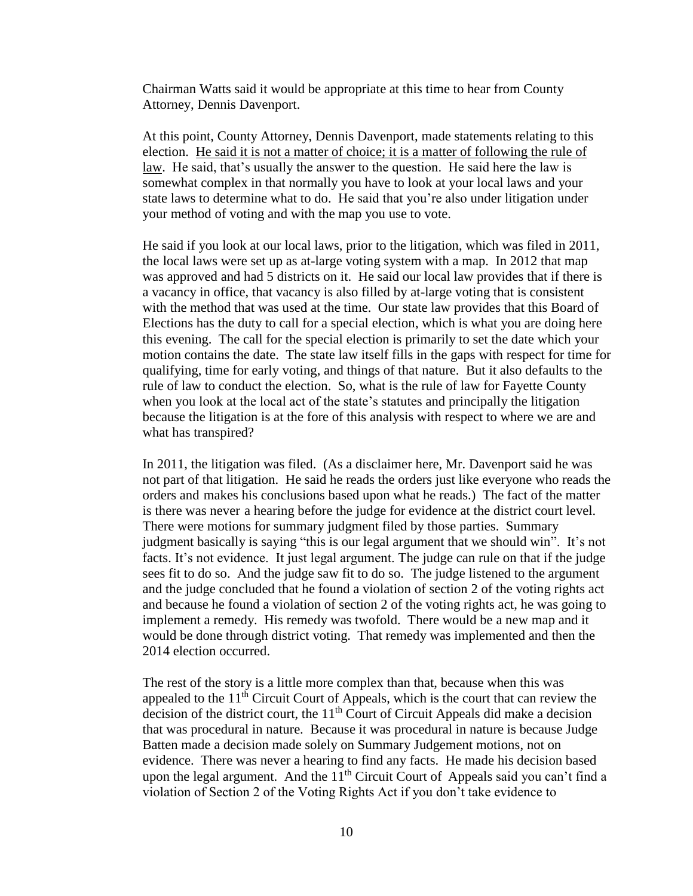Chairman Watts said it would be appropriate at this time to hear from County Attorney, Dennis Davenport.

At this point, County Attorney, Dennis Davenport, made statements relating to this election. He said it is not a matter of choice; it is a matter of following the rule of law. He said, that's usually the answer to the question. He said here the law is somewhat complex in that normally you have to look at your local laws and your state laws to determine what to do. He said that you're also under litigation under your method of voting and with the map you use to vote.

He said if you look at our local laws, prior to the litigation, which was filed in 2011, the local laws were set up as at-large voting system with a map. In 2012 that map was approved and had 5 districts on it. He said our local law provides that if there is a vacancy in office, that vacancy is also filled by at-large voting that is consistent with the method that was used at the time. Our state law provides that this Board of Elections has the duty to call for a special election, which is what you are doing here this evening. The call for the special election is primarily to set the date which your motion contains the date. The state law itself fills in the gaps with respect for time for qualifying, time for early voting, and things of that nature. But it also defaults to the rule of law to conduct the election. So, what is the rule of law for Fayette County when you look at the local act of the state's statutes and principally the litigation because the litigation is at the fore of this analysis with respect to where we are and what has transpired?

In 2011, the litigation was filed. (As a disclaimer here, Mr. Davenport said he was not part of that litigation. He said he reads the orders just like everyone who reads the orders and makes his conclusions based upon what he reads.) The fact of the matter is there was never a hearing before the judge for evidence at the district court level. There were motions for summary judgment filed by those parties. Summary judgment basically is saying "this is our legal argument that we should win". It's not facts. It's not evidence. It just legal argument. The judge can rule on that if the judge sees fit to do so. And the judge saw fit to do so. The judge listened to the argument and the judge concluded that he found a violation of section 2 of the voting rights act and because he found a violation of section 2 of the voting rights act, he was going to implement a remedy. His remedy was twofold. There would be a new map and it would be done through district voting. That remedy was implemented and then the 2014 election occurred.

The rest of the story is a little more complex than that, because when this was appealed to the  $11<sup>th</sup>$  Circuit Court of Appeals, which is the court that can review the decision of the district court, the  $11<sup>th</sup>$  Court of Circuit Appeals did make a decision that was procedural in nature. Because it was procedural in nature is because Judge Batten made a decision made solely on Summary Judgement motions, not on evidence. There was never a hearing to find any facts. He made his decision based upon the legal argument. And the  $11<sup>th</sup>$  Circuit Court of Appeals said you can't find a violation of Section 2 of the Voting Rights Act if you don't take evidence to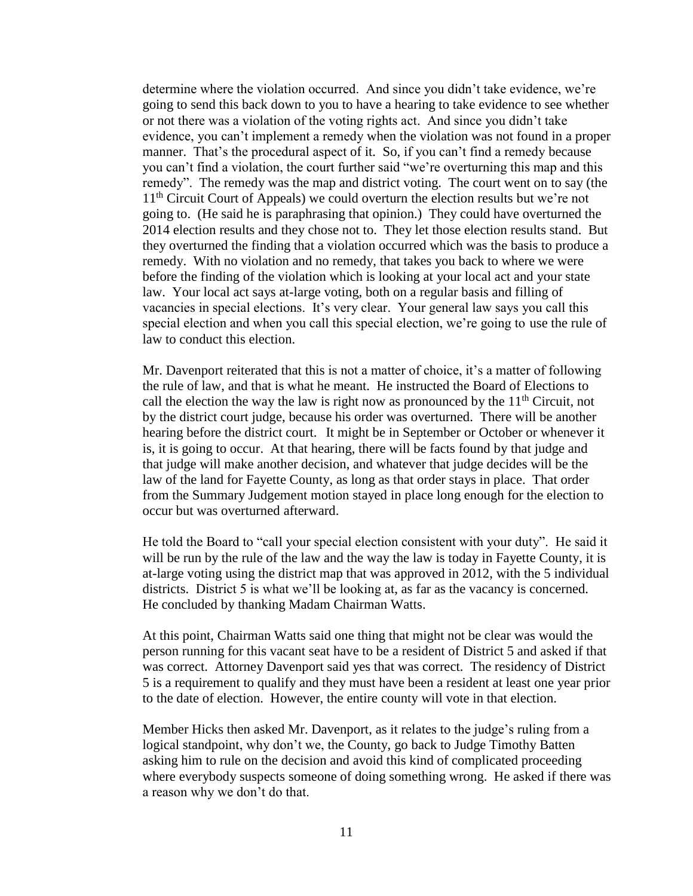determine where the violation occurred. And since you didn't take evidence, we're going to send this back down to you to have a hearing to take evidence to see whether or not there was a violation of the voting rights act. And since you didn't take evidence, you can't implement a remedy when the violation was not found in a proper manner. That's the procedural aspect of it. So, if you can't find a remedy because you can't find a violation, the court further said "we're overturning this map and this remedy". The remedy was the map and district voting. The court went on to say (the 11<sup>th</sup> Circuit Court of Appeals) we could overturn the election results but we're not going to. (He said he is paraphrasing that opinion.) They could have overturned the 2014 election results and they chose not to. They let those election results stand. But they overturned the finding that a violation occurred which was the basis to produce a remedy. With no violation and no remedy, that takes you back to where we were before the finding of the violation which is looking at your local act and your state law. Your local act says at-large voting, both on a regular basis and filling of vacancies in special elections. It's very clear. Your general law says you call this special election and when you call this special election, we're going to use the rule of law to conduct this election.

Mr. Davenport reiterated that this is not a matter of choice, it's a matter of following the rule of law, and that is what he meant. He instructed the Board of Elections to call the election the way the law is right now as pronounced by the  $11<sup>th</sup>$  Circuit, not by the district court judge, because his order was overturned. There will be another hearing before the district court. It might be in September or October or whenever it is, it is going to occur. At that hearing, there will be facts found by that judge and that judge will make another decision, and whatever that judge decides will be the law of the land for Fayette County, as long as that order stays in place. That order from the Summary Judgement motion stayed in place long enough for the election to occur but was overturned afterward.

He told the Board to "call your special election consistent with your duty". He said it will be run by the rule of the law and the way the law is today in Fayette County, it is at-large voting using the district map that was approved in 2012, with the 5 individual districts. District 5 is what we'll be looking at, as far as the vacancy is concerned. He concluded by thanking Madam Chairman Watts.

At this point, Chairman Watts said one thing that might not be clear was would the person running for this vacant seat have to be a resident of District 5 and asked if that was correct. Attorney Davenport said yes that was correct. The residency of District 5 is a requirement to qualify and they must have been a resident at least one year prior to the date of election. However, the entire county will vote in that election.

Member Hicks then asked Mr. Davenport, as it relates to the judge's ruling from a logical standpoint, why don't we, the County, go back to Judge Timothy Batten asking him to rule on the decision and avoid this kind of complicated proceeding where everybody suspects someone of doing something wrong. He asked if there was a reason why we don't do that.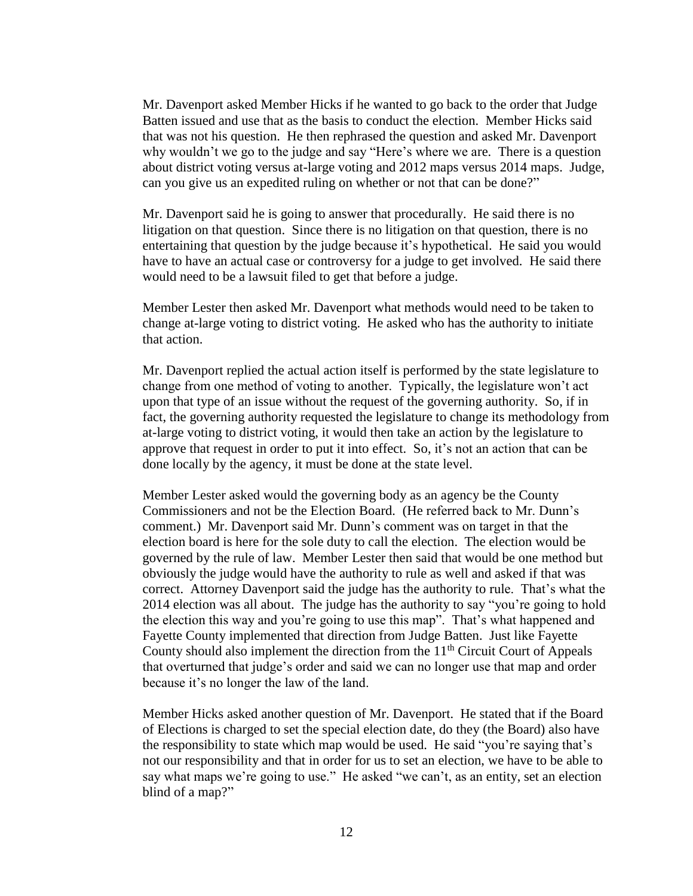Mr. Davenport asked Member Hicks if he wanted to go back to the order that Judge Batten issued and use that as the basis to conduct the election. Member Hicks said that was not his question. He then rephrased the question and asked Mr. Davenport why wouldn't we go to the judge and say "Here's where we are. There is a question about district voting versus at-large voting and 2012 maps versus 2014 maps. Judge, can you give us an expedited ruling on whether or not that can be done?"

Mr. Davenport said he is going to answer that procedurally. He said there is no litigation on that question. Since there is no litigation on that question, there is no entertaining that question by the judge because it's hypothetical. He said you would have to have an actual case or controversy for a judge to get involved. He said there would need to be a lawsuit filed to get that before a judge.

Member Lester then asked Mr. Davenport what methods would need to be taken to change at-large voting to district voting. He asked who has the authority to initiate that action.

Mr. Davenport replied the actual action itself is performed by the state legislature to change from one method of voting to another. Typically, the legislature won't act upon that type of an issue without the request of the governing authority. So, if in fact, the governing authority requested the legislature to change its methodology from at-large voting to district voting, it would then take an action by the legislature to approve that request in order to put it into effect. So, it's not an action that can be done locally by the agency, it must be done at the state level.

Member Lester asked would the governing body as an agency be the County Commissioners and not be the Election Board. (He referred back to Mr. Dunn's comment.) Mr. Davenport said Mr. Dunn's comment was on target in that the election board is here for the sole duty to call the election. The election would be governed by the rule of law. Member Lester then said that would be one method but obviously the judge would have the authority to rule as well and asked if that was correct. Attorney Davenport said the judge has the authority to rule. That's what the 2014 election was all about. The judge has the authority to say "you're going to hold the election this way and you're going to use this map". That's what happened and Fayette County implemented that direction from Judge Batten. Just like Fayette County should also implement the direction from the  $11<sup>th</sup>$  Circuit Court of Appeals that overturned that judge's order and said we can no longer use that map and order because it's no longer the law of the land.

Member Hicks asked another question of Mr. Davenport. He stated that if the Board of Elections is charged to set the special election date, do they (the Board) also have the responsibility to state which map would be used. He said "you're saying that's not our responsibility and that in order for us to set an election, we have to be able to say what maps we're going to use." He asked "we can't, as an entity, set an election blind of a map?"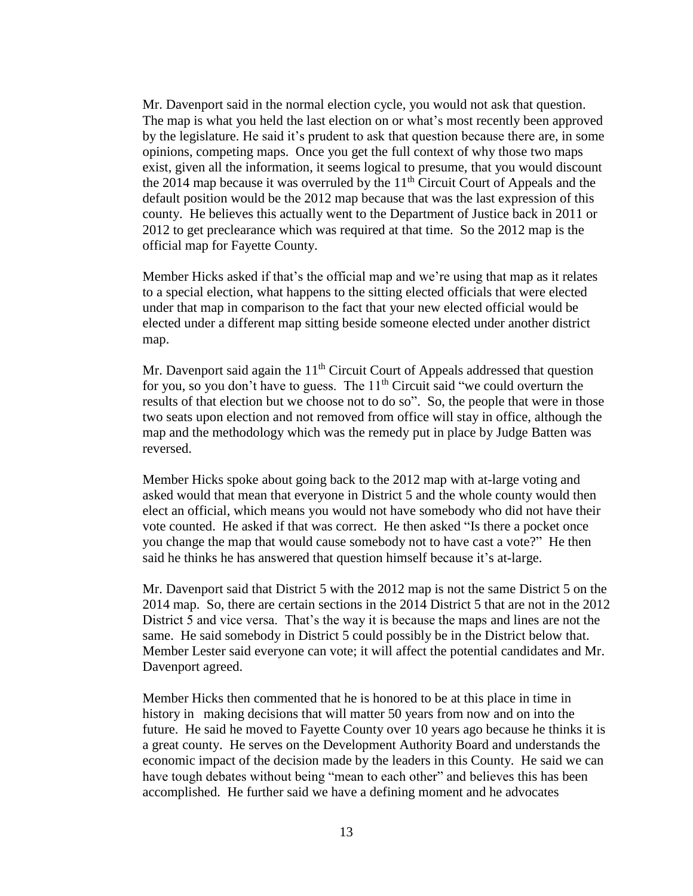Mr. Davenport said in the normal election cycle, you would not ask that question. The map is what you held the last election on or what's most recently been approved by the legislature. He said it's prudent to ask that question because there are, in some opinions, competing maps. Once you get the full context of why those two maps exist, given all the information, it seems logical to presume, that you would discount the 2014 map because it was overruled by the  $11<sup>th</sup>$  Circuit Court of Appeals and the default position would be the 2012 map because that was the last expression of this county. He believes this actually went to the Department of Justice back in 2011 or 2012 to get preclearance which was required at that time. So the 2012 map is the official map for Fayette County.

Member Hicks asked if that's the official map and we're using that map as it relates to a special election, what happens to the sitting elected officials that were elected under that map in comparison to the fact that your new elected official would be elected under a different map sitting beside someone elected under another district map.

Mr. Davenport said again the  $11<sup>th</sup>$  Circuit Court of Appeals addressed that question for you, so you don't have to guess. The  $11<sup>th</sup>$  Circuit said "we could overturn the results of that election but we choose not to do so". So, the people that were in those two seats upon election and not removed from office will stay in office, although the map and the methodology which was the remedy put in place by Judge Batten was reversed.

Member Hicks spoke about going back to the 2012 map with at-large voting and asked would that mean that everyone in District 5 and the whole county would then elect an official, which means you would not have somebody who did not have their vote counted. He asked if that was correct. He then asked "Is there a pocket once you change the map that would cause somebody not to have cast a vote?" He then said he thinks he has answered that question himself because it's at-large.

Mr. Davenport said that District 5 with the 2012 map is not the same District 5 on the 2014 map. So, there are certain sections in the 2014 District 5 that are not in the 2012 District 5 and vice versa. That's the way it is because the maps and lines are not the same. He said somebody in District 5 could possibly be in the District below that. Member Lester said everyone can vote; it will affect the potential candidates and Mr. Davenport agreed.

Member Hicks then commented that he is honored to be at this place in time in history in making decisions that will matter 50 years from now and on into the future. He said he moved to Fayette County over 10 years ago because he thinks it is a great county. He serves on the Development Authority Board and understands the economic impact of the decision made by the leaders in this County. He said we can have tough debates without being "mean to each other" and believes this has been accomplished. He further said we have a defining moment and he advocates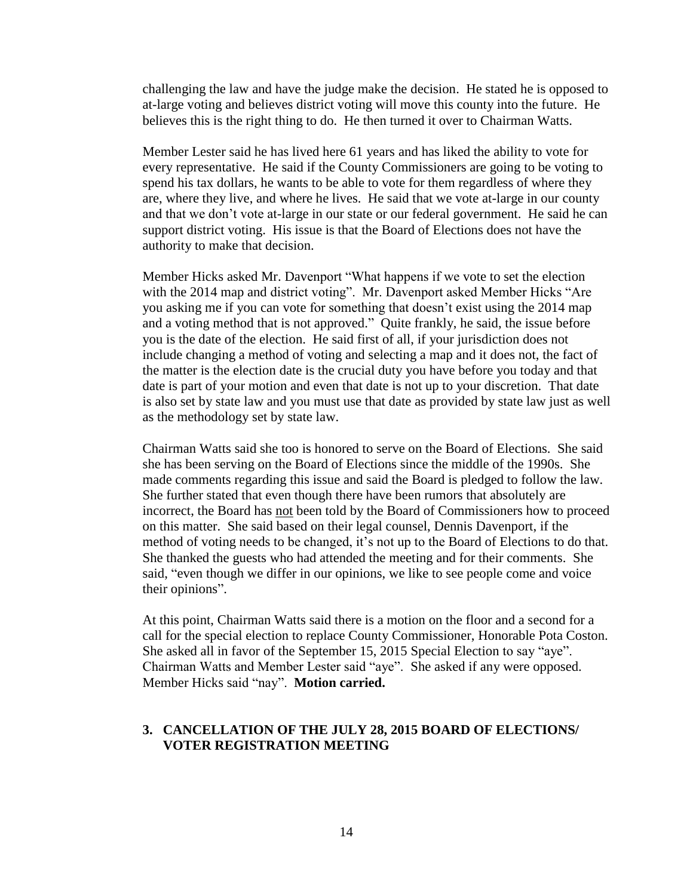challenging the law and have the judge make the decision. He stated he is opposed to at-large voting and believes district voting will move this county into the future. He believes this is the right thing to do. He then turned it over to Chairman Watts.

Member Lester said he has lived here 61 years and has liked the ability to vote for every representative. He said if the County Commissioners are going to be voting to spend his tax dollars, he wants to be able to vote for them regardless of where they are, where they live, and where he lives. He said that we vote at-large in our county and that we don't vote at-large in our state or our federal government. He said he can support district voting. His issue is that the Board of Elections does not have the authority to make that decision.

Member Hicks asked Mr. Davenport "What happens if we vote to set the election with the 2014 map and district voting". Mr. Davenport asked Member Hicks "Are you asking me if you can vote for something that doesn't exist using the 2014 map and a voting method that is not approved." Quite frankly, he said, the issue before you is the date of the election. He said first of all, if your jurisdiction does not include changing a method of voting and selecting a map and it does not, the fact of the matter is the election date is the crucial duty you have before you today and that date is part of your motion and even that date is not up to your discretion. That date is also set by state law and you must use that date as provided by state law just as well as the methodology set by state law.

Chairman Watts said she too is honored to serve on the Board of Elections. She said she has been serving on the Board of Elections since the middle of the 1990s. She made comments regarding this issue and said the Board is pledged to follow the law. She further stated that even though there have been rumors that absolutely are incorrect, the Board has not been told by the Board of Commissioners how to proceed on this matter. She said based on their legal counsel, Dennis Davenport, if the method of voting needs to be changed, it's not up to the Board of Elections to do that. She thanked the guests who had attended the meeting and for their comments. She said, "even though we differ in our opinions, we like to see people come and voice their opinions".

At this point, Chairman Watts said there is a motion on the floor and a second for a call for the special election to replace County Commissioner, Honorable Pota Coston. She asked all in favor of the September 15, 2015 Special Election to say "aye". Chairman Watts and Member Lester said "aye". She asked if any were opposed. Member Hicks said "nay". **Motion carried.**

#### **3. CANCELLATION OF THE JULY 28, 2015 BOARD OF ELECTIONS/ VOTER REGISTRATION MEETING**